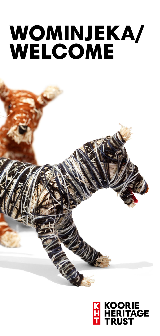## WOMINJEKA/ WELCOME

## **KOORIE<br>HERITAGE<br>TRUST**